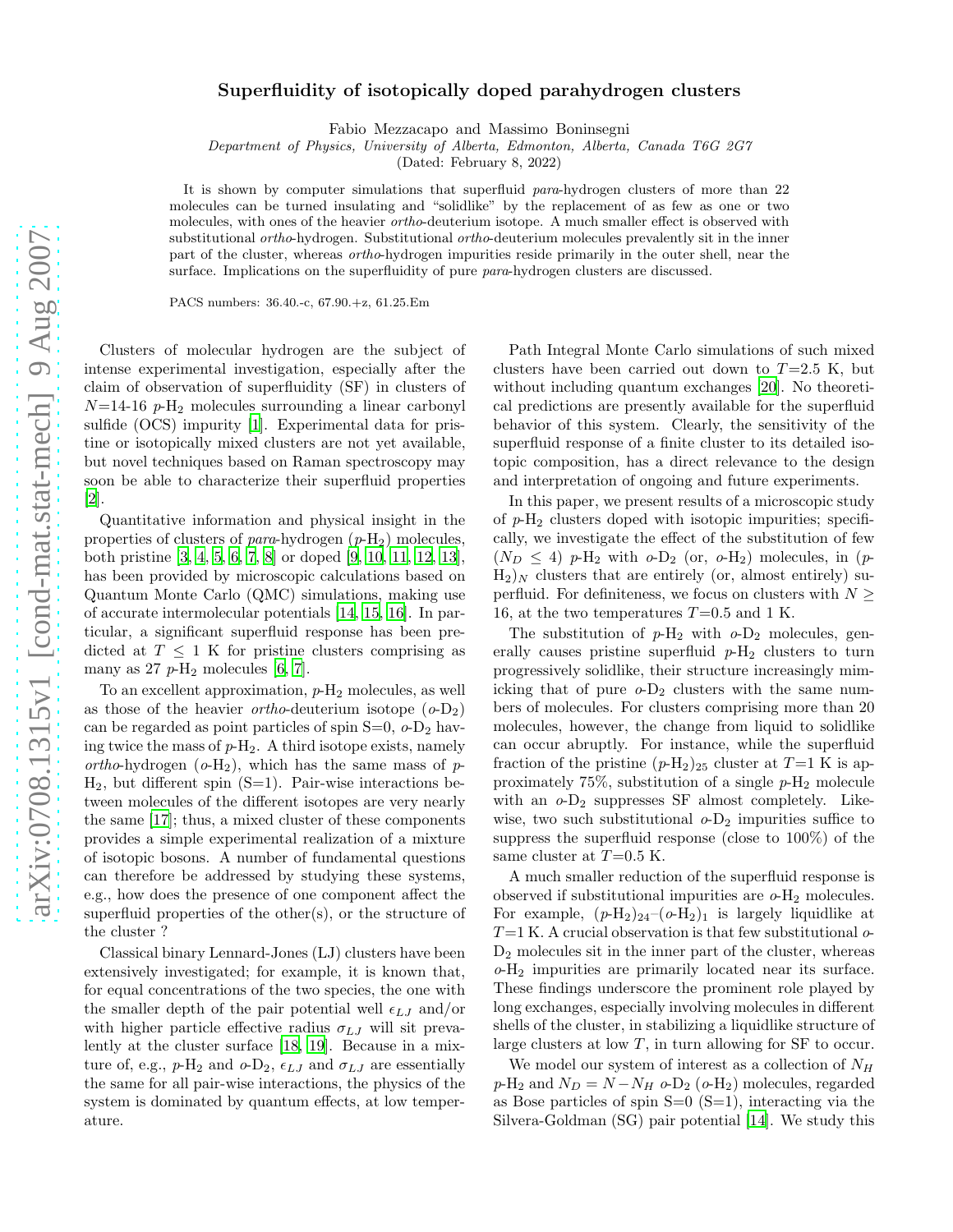## Superfluidity of isotopically doped parahydrogen clusters

Fabio Mezzacapo and Massimo Boninsegni

Department of Physics, University of Alberta, Edmonton, Alberta, Canada T6G 2G7

(Dated: February 8, 2022)

It is shown by computer simulations that superfluid para-hydrogen clusters of more than 22 molecules can be turned insulating and "solidlike" by the replacement of as few as one or two molecules, with ones of the heavier ortho-deuterium isotope. A much smaller effect is observed with substitutional ortho-hydrogen. Substitutional ortho-deuterium molecules prevalently sit in the inner part of the cluster, whereas ortho-hydrogen impurities reside primarily in the outer shell, near the surface. Implications on the superfluidity of pure *para*-hydrogen clusters are discussed.

PACS numbers: 36.40.-c, 67.90.+z, 61.25.Em

Clusters of molecular hydrogen are the subject of intense experimental investigation, especially after the claim of observation of superfluidity (SF) in clusters of  $N=14-16$  p-H<sub>2</sub> molecules surrounding a linear carbonyl sulfide (OCS) impurity [\[1\]](#page-3-0). Experimental data for pristine or isotopically mixed clusters are not yet available, but novel techniques based on Raman spectroscopy may soon be able to characterize their superfluid properties [\[2\]](#page-3-1).

Quantitative information and physical insight in the properties of clusters of *para*-hydrogen  $(p-H_2)$  molecules, both pristine [\[3,](#page-3-2) [4,](#page-3-3) [5,](#page-3-4) [6](#page-3-5), [7](#page-3-6), [8](#page-3-7)] or doped [\[9](#page-3-8), [10,](#page-3-9) [11,](#page-3-10) [12,](#page-3-11) [13\]](#page-3-12), has been provided by microscopic calculations based on Quantum Monte Carlo (QMC) simulations, making use of accurate intermolecular potentials [\[14,](#page-3-13) [15,](#page-3-14) [16\]](#page-3-15). In particular, a significant superfluid response has been predicted at  $T \leq 1$  K for pristine clusters comprising as many as  $27$   $p$ -H<sub>2</sub> molecules [\[6,](#page-3-5) [7](#page-3-6)].

To an excellent approximation,  $p-H_2$  molecules, as well as those of the heavier *ortho*-deuterium isotope  $(o-D_2)$ can be regarded as point particles of spin  $S=0$ ,  $o-D_2$  having twice the mass of  $p-H_2$ . A third isotope exists, namely ortho-hydrogen  $(o-H_2)$ , which has the same mass of p- $H_2$ , but different spin  $(S=1)$ . Pair-wise interactions between molecules of the different isotopes are very nearly the same [\[17](#page-3-16)]; thus, a mixed cluster of these components provides a simple experimental realization of a mixture of isotopic bosons. A number of fundamental questions can therefore be addressed by studying these systems, e.g., how does the presence of one component affect the superfluid properties of the other(s), or the structure of the cluster ?

Classical binary Lennard-Jones (LJ) clusters have been extensively investigated; for example, it is known that, for equal concentrations of the two species, the one with the smaller depth of the pair potential well  $\epsilon_{LJ}$  and/or with higher particle effective radius  $\sigma_{LJ}$  will sit prevalently at the cluster surface [\[18,](#page-3-17) [19\]](#page-3-18). Because in a mixture of, e.g.,  $p-H_2$  and  $o-D_2$ ,  $\epsilon_{LJ}$  and  $\sigma_{LJ}$  are essentially the same for all pair-wise interactions, the physics of the system is dominated by quantum effects, at low temperature.

Path Integral Monte Carlo simulations of such mixed clusters have been carried out down to  $T=2.5$  K, but without including quantum exchanges [\[20\]](#page-3-19). No theoretical predictions are presently available for the superfluid behavior of this system. Clearly, the sensitivity of the superfluid response of a finite cluster to its detailed isotopic composition, has a direct relevance to the design and interpretation of ongoing and future experiments.

In this paper, we present results of a microscopic study of  $p-\mathrm{H}_2$  clusters doped with isotopic impurities; specifically, we investigate the effect of the substitution of few  $(N_D \leq 4)$  p-H<sub>2</sub> with  $o$ -D<sub>2</sub> (or,  $o$ -H<sub>2</sub>) molecules, in (p- $H_2$ )<sub>N</sub> clusters that are entirely (or, almost entirely) superfluid. For definiteness, we focus on clusters with  $N \geq$ 16, at the two temperatures  $T=0.5$  and 1 K.

The substitution of  $p-H_2$  with  $o-D_2$  molecules, generally causes pristine superfluid  $p-H_2$  clusters to turn progressively solidlike, their structure increasingly mimicking that of pure  $o-D_2$  clusters with the same numbers of molecules. For clusters comprising more than 20 molecules, however, the change from liquid to solidlike can occur abruptly. For instance, while the superfluid fraction of the pristine  $(p-H_2)_{25}$  cluster at  $T=1$  K is approximately 75%, substitution of a single  $p-H_2$  molecule with an  $o$ - $D_2$  suppresses SF almost completely. Likewise, two such substitutional  $o$ - $D_2$  impurities suffice to suppress the superfluid response (close to 100%) of the same cluster at  $T=0.5$  K.

A much smaller reduction of the superfluid response is observed if substitutional impurities are  $o$ -H<sub>2</sub> molecules. For example,  $(p-H_2)_{24}-(o-H_2)_{1}$  is largely liquidlike at  $T=1$  K. A crucial observation is that few substitutional  $\sigma$ - $D_2$  molecules sit in the inner part of the cluster, whereas o-H<sup>2</sup> impurities are primarily located near its surface. These findings underscore the prominent role played by long exchanges, especially involving molecules in different shells of the cluster, in stabilizing a liquidlike structure of large clusters at low  $T$ , in turn allowing for SF to occur.

We model our system of interest as a collection of  $N_H$  $p-H_2$  and  $N_D = N - N_H$   $o-D_2$  ( $o-H_2$ ) molecules, regarded as Bose particles of spin  $S=0$   $(S=1)$ , interacting via the Silvera-Goldman (SG) pair potential [\[14\]](#page-3-13). We study this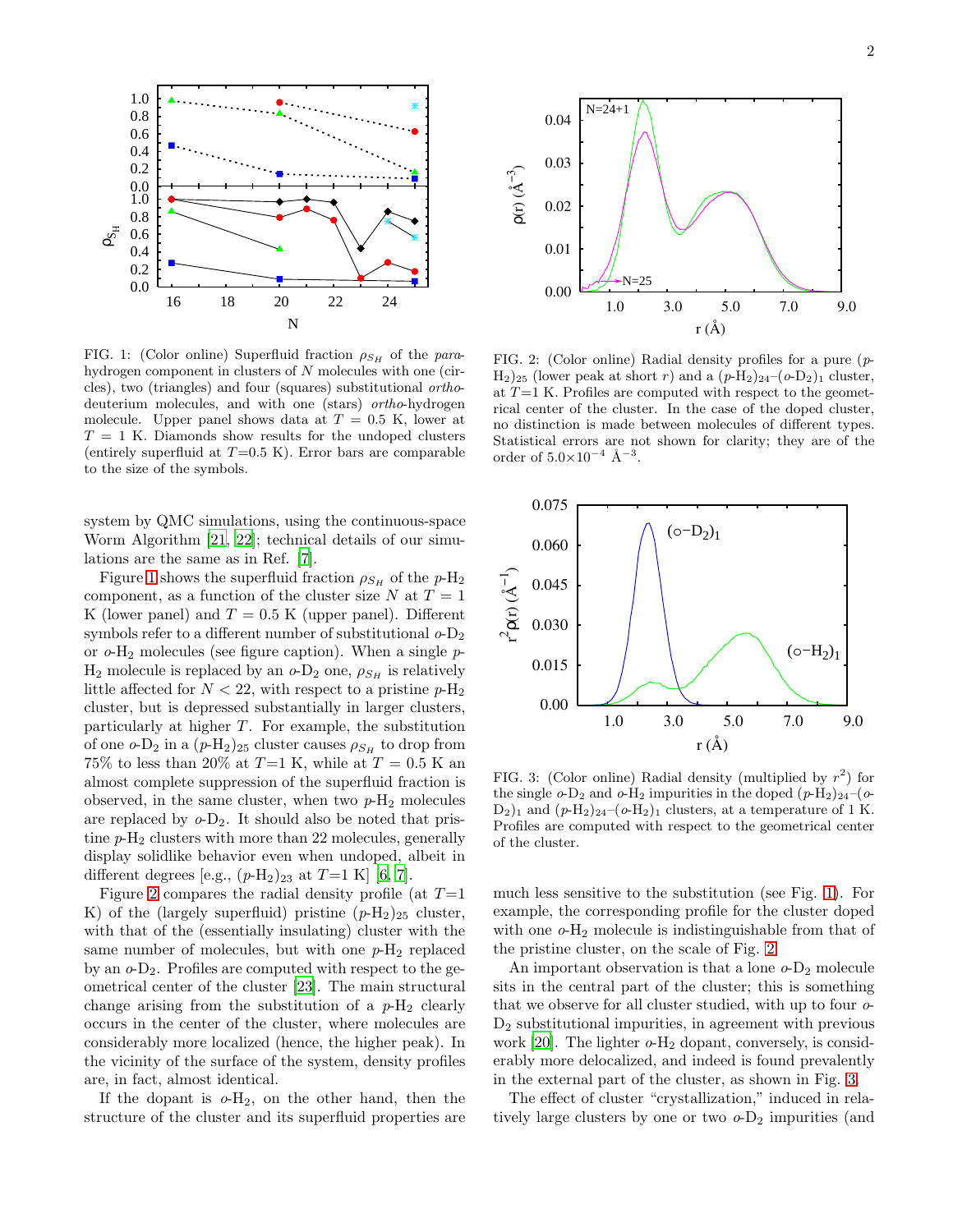

<span id="page-1-0"></span>FIG. 1: (Color online) Superfluid fraction  $\rho_{S_H}$  of the parahydrogen component in clusters of N molecules with one (circles), two (triangles) and four (squares) substitutional orthodeuterium molecules, and with one (stars) ortho-hydrogen molecule. Upper panel shows data at  $T = 0.5$  K, lower at  $T = 1$  K. Diamonds show results for the undoped clusters (entirely superfluid at  $T=0.5$  K). Error bars are comparable to the size of the symbols.

system by QMC simulations, using the continuous-space Worm Algorithm [\[21](#page-3-20), [22\]](#page-3-21); technical details of our simulations are the same as in Ref. [\[7\]](#page-3-6).

Figure [1](#page-1-0) shows the superfluid fraction  $\rho_{S_H}$  of the  $p\text{-}H_2$ component, as a function of the cluster size  $N$  at  $T = 1$ K (lower panel) and  $T = 0.5$  K (upper panel). Different symbols refer to a different number of substitutional  $o$ - $D_2$ or  $o$ -H<sub>2</sub> molecules (see figure caption). When a single  $p$ - $H_2$  molecule is replaced by an  $o$ -D<sub>2</sub> one,  $\rho_{S_H}$  is relatively little affected for  $N < 22$ , with respect to a pristine  $p-H_2$ cluster, but is depressed substantially in larger clusters, particularly at higher  $T$ . For example, the substitution of one  $o$ -D<sub>2</sub> in a  $(p-H_2)_{25}$  cluster causes  $\rho_{S_H}$  to drop from 75% to less than 20% at  $T=1$  K, while at  $T=0.5$  K an almost complete suppression of the superfluid fraction is observed, in the same cluster, when two  $p-H_2$  molecules are replaced by  $o-D_2$ . It should also be noted that pristine  $p-H_2$  clusters with more than 22 molecules, generally display solidlike behavior even when undoped, albeit in different degrees [e.g.,  $(p-H_2)_{23}$  at  $T=1$  K] [\[6,](#page-3-5) [7](#page-3-6)].

Figure [2](#page-1-1) compares the radial density profile (at  $T=1$ K) of the (largely superfluid) pristine  $(p-H_2)_{25}$  cluster, with that of the (essentially insulating) cluster with the same number of molecules, but with one  $p-H_2$  replaced by an  $o$ -D<sub>2</sub>. Profiles are computed with respect to the geometrical center of the cluster [\[23\]](#page-3-22). The main structural change arising from the substitution of a  $p-H_2$  clearly occurs in the center of the cluster, where molecules are considerably more localized (hence, the higher peak). In the vicinity of the surface of the system, density profiles are, in fact, almost identical.

If the dopant is  $o-H_2$ , on the other hand, then the structure of the cluster and its superfluid properties are



<span id="page-1-1"></span>FIG. 2: (Color online) Radial density profiles for a pure (p- $H_2$ )<sub>25</sub> (lower peak at short r) and a  $(p-H_2)_{24}-(o-D_2)_1$  cluster, at  $T=1$  K. Profiles are computed with respect to the geometrical center of the cluster. In the case of the doped cluster, no distinction is made between molecules of different types. Statistical errors are not shown for clarity; they are of the order of  $5.0 \times 10^{-4}$  Å<sup>-3</sup>.



<span id="page-1-2"></span>FIG. 3: (Color online) Radial density (multiplied by  $r^2$ ) for the single  $o$ -D<sub>2</sub> and  $o$ -H<sub>2</sub> impurities in the doped  $(p-H_2)_{24}-(o$ - $D_2$ <sub>1</sub> and  $(p-H_2)_{24}-(p-H_2)_{1}$  clusters, at a temperature of 1 K. Profiles are computed with respect to the geometrical center of the cluster.

much less sensitive to the substitution (see Fig. [1\)](#page-1-0). For example, the corresponding profile for the cluster doped with one  $o$ -H<sub>2</sub> molecule is indistinguishable from that of the pristine cluster, on the scale of Fig. [2.](#page-1-1)

An important observation is that a lone  $o$ - $D_2$  molecule sits in the central part of the cluster; this is something that we observe for all cluster studied, with up to four o-D<sup>2</sup> substitutional impurities, in agreement with previous work  $[20]$ . The lighter  $o$ -H<sub>2</sub> dopant, conversely, is considerably more delocalized, and indeed is found prevalently in the external part of the cluster, as shown in Fig. [3.](#page-1-2)

The effect of cluster "crystallization," induced in relatively large clusters by one or two  $o-D_2$  impurities (and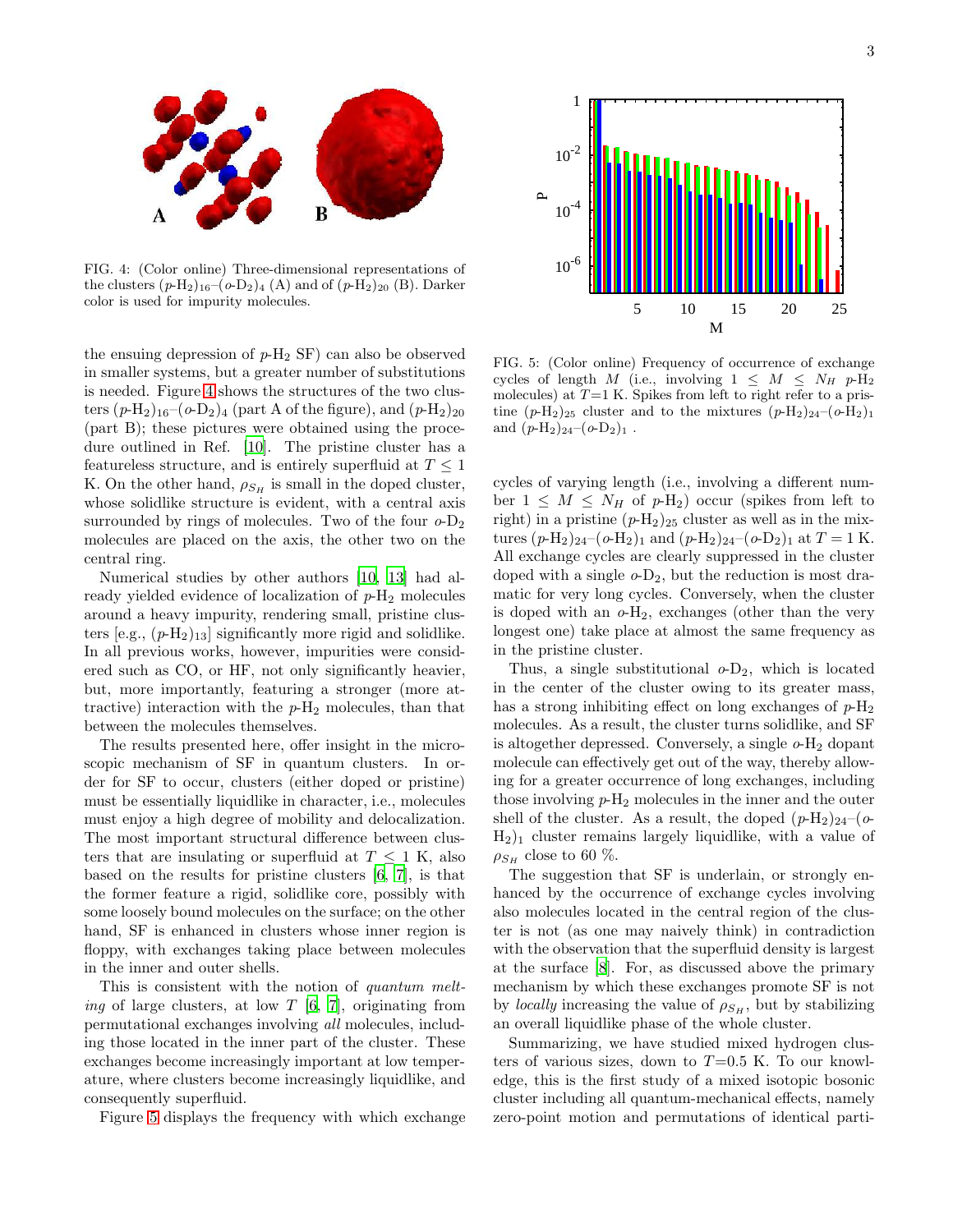

<span id="page-2-0"></span>FIG. 4: (Color online) Three-dimensional representations of the clusters  $(p-H_2)_{16}-(o-D_2)_4$  (A) and of  $(p-H_2)_{20}$  (B). Darker color is used for impurity molecules.

the ensuing depression of  $p-H_2$  SF) can also be observed in smaller systems, but a greater number of substitutions is needed. Figure [4](#page-2-0) shows the structures of the two clusters  $(p-H_2)_{16}-(o-D_2)_4$  (part A of the figure), and  $(p-H_2)_{20}$ (part B); these pictures were obtained using the procedure outlined in Ref. [\[10](#page-3-9)]. The pristine cluster has a featureless structure, and is entirely superfluid at  $T \leq 1$ K. On the other hand,  $\rho_{S_H}$  is small in the doped cluster, whose solidlike structure is evident, with a central axis surrounded by rings of molecules. Two of the four  $o-D_2$ molecules are placed on the axis, the other two on the central ring.

Numerical studies by other authors [\[10,](#page-3-9) [13\]](#page-3-12) had already yielded evidence of localization of  $p-H_2$  molecules around a heavy impurity, rendering small, pristine clusters [e.g.,  $(p-H_2)_{13}$ ] significantly more rigid and solidlike. In all previous works, however, impurities were considered such as CO, or HF, not only significantly heavier, but, more importantly, featuring a stronger (more attractive) interaction with the  $p-H_2$  molecules, than that between the molecules themselves.

The results presented here, offer insight in the microscopic mechanism of SF in quantum clusters. In order for SF to occur, clusters (either doped or pristine) must be essentially liquidlike in character, i.e., molecules must enjoy a high degree of mobility and delocalization. The most important structural difference between clusters that are insulating or superfluid at  $T \leq 1$  K, also based on the results for pristine clusters [\[6](#page-3-5), [7\]](#page-3-6), is that the former feature a rigid, solidlike core, possibly with some loosely bound molecules on the surface; on the other hand, SF is enhanced in clusters whose inner region is floppy, with exchanges taking place between molecules in the inner and outer shells.

This is consistent with the notion of quantum melt*ing* of large clusters, at low T [\[6,](#page-3-5) [7](#page-3-6)], originating from permutational exchanges involving all molecules, including those located in the inner part of the cluster. These exchanges become increasingly important at low temperature, where clusters become increasingly liquidlike, and consequently superfluid.

Figure [5](#page-2-1) displays the frequency with which exchange



<span id="page-2-1"></span>FIG. 5: (Color online) Frequency of occurrence of exchange cycles of length M (i.e., involving  $1 \leq M \leq N_H$  p-H<sub>2</sub> molecules) at  $T=1$  K. Spikes from left to right refer to a pristine  $(p-H_2)_{25}$  cluster and to the mixtures  $(p-H_2)_{24}-(o-H_2)_{15}$ and  $(p-H_2)_{24}-(o-D_2)_1$ .

cycles of varying length (i.e., involving a different number  $1 \leq M \leq N_H$  of  $p\text{-H}_2$ ) occur (spikes from left to right) in a pristine  $(p-H_2)_{25}$  cluster as well as in the mixtures  $(p-H_2)_{24}-(o-H_2)_{1}$  and  $(p-H_2)_{24}-(o-D_2)_{1}$  at  $T=1$  K. All exchange cycles are clearly suppressed in the cluster doped with a single  $o$ -D<sub>2</sub>, but the reduction is most dramatic for very long cycles. Conversely, when the cluster is doped with an  $o-H_2$ , exchanges (other than the very longest one) take place at almost the same frequency as in the pristine cluster.

Thus, a single substitutional  $o-D_2$ , which is located in the center of the cluster owing to its greater mass, has a strong inhibiting effect on long exchanges of  $p-H_2$ molecules. As a result, the cluster turns solidlike, and SF is altogether depressed. Conversely, a single  $o$ - $H_2$  dopant molecule can effectively get out of the way, thereby allowing for a greater occurrence of long exchanges, including those involving  $p-H_2$  molecules in the inner and the outer shell of the cluster. As a result, the doped  $(p-H_2)_{24}-(o H_2$ )<sub>1</sub> cluster remains largely liquidlike, with a value of  $\rho_{S_H}$  close to 60 %.

The suggestion that SF is underlain, or strongly enhanced by the occurrence of exchange cycles involving also molecules located in the central region of the cluster is not (as one may naively think) in contradiction with the observation that the superfluid density is largest at the surface [\[8\]](#page-3-7). For, as discussed above the primary mechanism by which these exchanges promote SF is not by *locally* increasing the value of  $\rho_{S_H}$ , but by stabilizing an overall liquidlike phase of the whole cluster.

Summarizing, we have studied mixed hydrogen clusters of various sizes, down to  $T=0.5$  K. To our knowledge, this is the first study of a mixed isotopic bosonic cluster including all quantum-mechanical effects, namely zero-point motion and permutations of identical parti